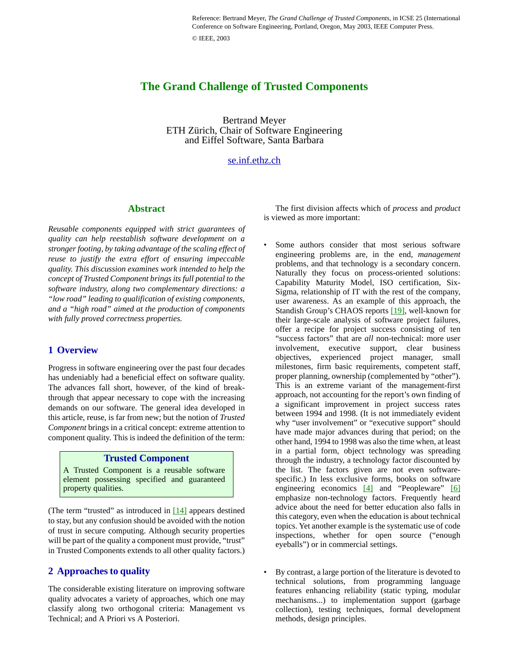Reference: Bertrand Meyer, *The Grand Challenge of Trusted Components*, in ICSE 25 (International Conference on Software Engineering, Portland, Oregon, May 2003, IEEE Computer Press. © IEEE, 2003

# **The Grand Challenge of Trusted Components**

Bertrand Meyer ETH Zürich, Chair of Software Engineering and Eiffel Software, Santa Barbara

## [se.inf.ethz.ch](http://se.inf.ethz.ch)

#### **Abstract**

*Reusable components equipped with strict guarantees of quality can help reestablish software development on a stronger footing, by taking advantage of the scaling effect of reuse to justify the extra effort of ensuring impeccable quality. This discussion examines work intended to help the concept of Trusted Component brings its full potential to the software industry, along two complementary directions: a "low road" leading to qualification of existing components, and a "high road" aimed at the production of components with fully proved correctness properties.*

#### **1 Overview**

Progress in software engineering over the past four decades has undeniably had a beneficial effect on software quality. The advances fall short, however, of the kind of breakthrough that appear necessary to cope with the increasing demands on our software. The general idea developed in this article, reuse, is far from new; but the notion of *Trusted Component* brings in a critical concept: extreme attention to component quality. This is indeed the definition of the term:

#### **Trusted Component**

A Trusted Component is a reusable software element possessing specified and guaranteed property qualities.

(The term "trusted" as introduced in  $[14]$  appears destined to stay, but any confusion should be avoided with the notion of trust in secure computing. Although security properties will be part of the quality a component must provide, "trust" in Trusted Components extends to all other quality factors.)

#### <span id="page-0-0"></span>**2 Approaches to quality**

The considerable existing literature on improving software quality advocates a variety of approaches, which one may classify along two orthogonal criteria: Management vs Technical; and A Priori vs A Posteriori.

The first division affects which of *process* and *product* is viewed as more important:

- Some authors consider that most serious software engineering problems are, in the end, *management* problems, and that technology is a secondary concern. Naturally they focus on process-oriented solutions: Capability Maturity Model, ISO certification, Six-Sigma, relationship of IT with the rest of the company, user awareness. As an example of this approach, the Standish Group's CHAOS reports [\[19\],](#page-7-2) well-known for their large-scale analysis of software project failures, offer a recipe for project success consisting of ten "success factors" that are *all* non-technical: more user involvement, executive support, clear business objectives, experienced project manager, small milestones, firm basic requirements, competent staff, proper planning, ownership (complemented by "other"). This is an extreme variant of the management-first approach, not accounting for the report's own finding of a significant improvement in project success rates between 1994 and 1998. (It is not immediately evident why "user involvement" or "executive support" should have made major advances during that period; on the other hand, 1994 to 1998 was also the time when, at least in a partial form, object technology was spreading through the industry, a technology factor discounted by the list. The factors given are not even softwarespecific.) In less exclusive forms, books on software engineering economics [\[4\]](#page-6-0) and "Peopleware" [\[6\]](#page-7-0) emphasize non-technology factors. Frequently heard advice about the need for better education also falls in this category, even when the education is about technical topics. Yet another example is the systematic use of code inspections, whether for open source ("enough eyeballs") or in commercial settings.
- By contrast, a large portion of the literature is devoted to technical solutions, from programming language features enhancing reliability (static typing, modular mechanisms...) to implementation support (garbage collection), testing techniques, formal development methods, design principles.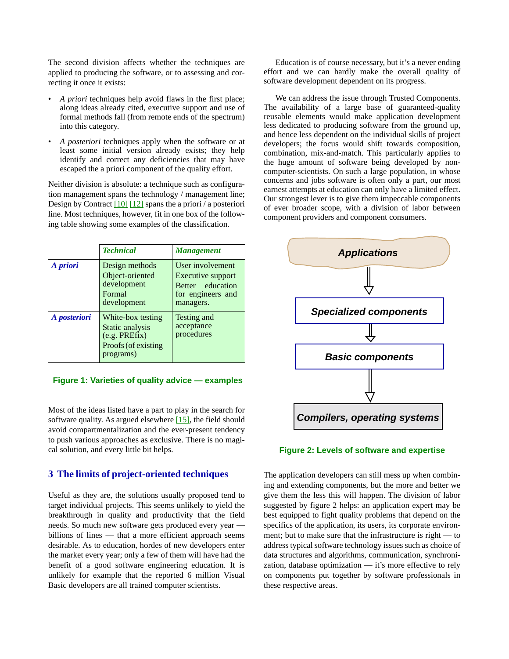The second division affects whether the techniques are applied to producing the software, or to assessing and correcting it once it exists:

- *A priori* techniques help avoid flaws in the first place; along ideas already cited, executive support and use of formal methods fall (from remote ends of the spectrum) into this category.
- *A posteriori* techniques apply when the software or at least some initial version already exists; they help identify and correct any deficiencies that may have escaped the a priori component of the quality effort.

Neither division is absolute: a technique such as configuration management spans the technology / management line; Design by Contract  $[10] [12]$  spans the a priori / a posteriori line. Most techniques, however, fit in one box of the following table showing some examples of the classification.

|              | <b>Technical</b>                                                                          | <b>Management</b>                                                                           |
|--------------|-------------------------------------------------------------------------------------------|---------------------------------------------------------------------------------------------|
| A priori     | Design methods<br>Object-oriented<br>development<br>Formal<br>development                 | User involvement<br>Executive support<br>Better education<br>for engineers and<br>managers. |
| A posteriori | White-box testing<br>Static analysis<br>(e.g. PREFix)<br>Proofs (of existing<br>programs) | Testing and<br>acceptance<br>procedures                                                     |

 **Figure 1: Varieties of quality advice — examples**

Most of the ideas listed have a part to play in the search for software quality. As argued elsewhere [\[15\]](#page-7-5), the field should avoid compartmentalization and the ever-present tendency to push various approaches as exclusive. There is no magical solution, and every little bit helps.

### **3 The limits of project-oriented techniques**

Useful as they are, the solutions usually proposed tend to target individual projects. This seems unlikely to yield the breakthrough in quality and productivity that the field needs. So much new software gets produced every year billions of lines — that a more efficient approach seems desirable. As to education, hordes of new developers enter the market every year; only a few of them will have had the benefit of a good software engineering education. It is unlikely for example that the reported 6 million Visual Basic developers are all trained computer scientists.

Education is of course necessary, but it's a never ending effort and we can hardly make the overall quality of software development dependent on its progress.

We can address the issue through Trusted Components. The availability of a large base of guaranteed-quality reusable elements would make application development less dedicated to producing software from the ground up, and hence less dependent on the individual skills of project developers; the focus would shift towards composition, combination, mix-and-match. This particularly applies to the huge amount of software being developed by noncomputer-scientists. On such a large population, in whose concerns and jobs software is often only a part, our most earnest attempts at education can only have a limited effect. Our strongest lever is to give them impeccable components of ever broader scope, with a division of labor between component providers and component consumers.



#### <span id="page-1-0"></span> **Figure 2: Levels of software and expertise**

The application developers can still mess up when combining and extending components, but the more and better we give them the less this will happen. The division of labor suggested by figure [2](#page-1-0) helps: an application expert may be best equipped to fight quality problems that depend on the specifics of the application, its users, its corporate environment; but to make sure that the infrastructure is right — to address typical software technology issues such as choice of data structures and algorithms, communication, synchronization, database optimization — it's more effective to rely on components put together by software professionals in these respective areas.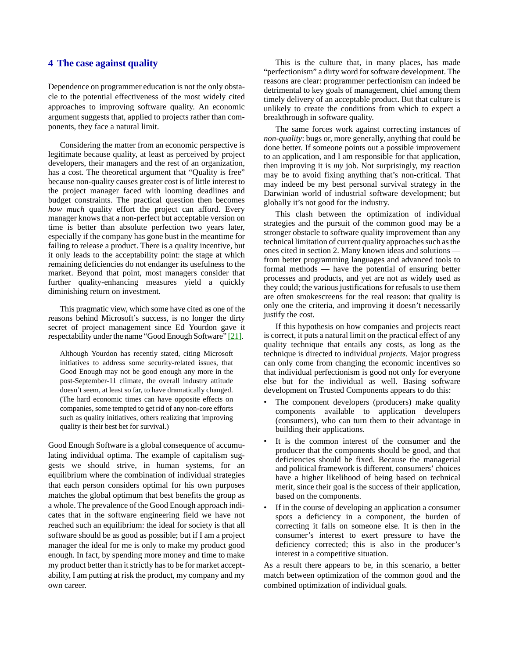### **4 The case against quality**

Dependence on programmer education is not the only obstacle to the potential effectiveness of the most widely cited approaches to improving software quality. An economic argument suggests that, applied to projects rather than components, they face a natural limit.

Considering the matter from an economic perspective is legitimate because quality, at least as perceived by project developers, their managers and the rest of an organization, has a cost. The theoretical argument that "Quality is free" because non-quality causes greater cost is of little interest to the project manager faced with looming deadlines and budget constraints. The practical question then becomes *how much* quality effort the project can afford. Every manager knows that a non-perfect but acceptable version on time is better than absolute perfection two years later, especially if the company has gone bust in the meantime for failing to release a product. There is a quality incentive, but it only leads to the acceptability point: the stage at which remaining deficiencies do not endanger its usefulness to the market. Beyond that point, most managers consider that further quality-enhancing measures yield a quickly diminishing return on investment.

This pragmatic view, which some have cited as one of the reasons behind Microsoft's success, is no longer the dirty secret of project management since Ed Yourdon gave it respectability under the name "Good Enough Software" [\[21\].](#page-7-6)

Although Yourdon has recently stated, citing Microsoft initiatives to address some security-related issues, that Good Enough may not be good enough any more in the post-September-11 climate, the overall industry attitude doesn't seem, at least so far, to have dramatically changed. (The hard economic times can have opposite effects on companies, some tempted to get rid of any non-core efforts such as quality initiatives, others realizing that improving quality is their best bet for survival.)

Good Enough Software is a global consequence of accumulating individual optima. The example of capitalism suggests we should strive, in human systems, for an equilibrium where the combination of individual strategies that each person considers optimal for his own purposes matches the global optimum that best benefits the group as a whole. The prevalence of the Good Enough approach indicates that in the software engineering field we have not reached such an equilibrium: the ideal for society is that all software should be as good as possible; but if I am a project manager the ideal for me is only to make my product good enough. In fact, by spending more money and time to make my product better than it strictly has to be for market acceptability, I am putting at risk the product, my company and my own career.

This is the culture that, in many places, has made "perfectionism" a dirty word for software development. The reasons are clear: programmer perfectionism can indeed be detrimental to key goals of management, chief among them timely delivery of an acceptable product. But that culture is unlikely to create the conditions from which to expect a breakthrough in software quality.

The same forces work against correcting instances of *non-quality*: bugs or, more generally, anything that could be done better. If someone points out a possible improvement to an application, and I am responsible for that application, then improving it is *my* job. Not surprisingly, my reaction may be to avoid fixing anything that's non-critical. That may indeed be my best personal survival strategy in the Darwinian world of industrial software development; but globally it's not good for the industry.

This clash between the optimization of individual strategies and the pursuit of the common good may be a stronger obstacle to software quality improvement than any technical limitation of current quality approaches such as the ones cited in section [2.](#page-0-0) Many known ideas and solutions from better programming languages and advanced tools to formal methods — have the potential of ensuring better processes and products, and yet are not as widely used as they could; the various justifications for refusals to use them are often smokescreens for the real reason: that quality is only one the criteria, and improving it doesn't necessarily justify the cost.

If this hypothesis on how companies and projects react is correct, it puts a natural limit on the practical effect of any quality technique that entails any costs, as long as the technique is directed to individual *projects*. Major progress can only come from changing the economic incentives so that individual perfectionism is good not only for everyone else but for the individual as well. Basing software development on Trusted Components appears to do this:

- The component developers (producers) make quality components available to application developers (consumers), who can turn them to their advantage in building their applications.
- It is the common interest of the consumer and the producer that the components should be good, and that deficiencies should be fixed. Because the managerial and political framework is different, consumers' choices have a higher likelihood of being based on technical merit, since their goal is the success of their application, based on the components.
- If in the course of developing an application a consumer spots a deficiency in a component, the burden of correcting it falls on someone else. It is then in the consumer's interest to exert pressure to have the deficiency corrected; this is also in the producer's interest in a competitive situation.

As a result there appears to be, in this scenario, a better match between optimization of the common good and the combined optimization of individual goals.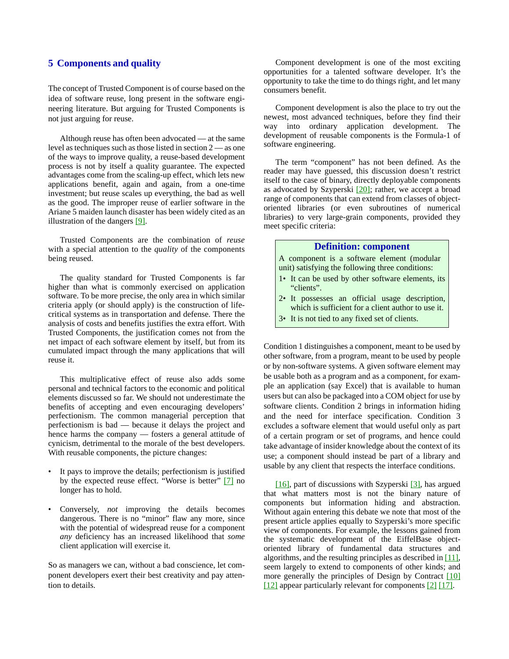### **5 Components and quality**

The concept of Trusted Component is of course based on the idea of software reuse, long present in the software engineering literature. But arguing for Trusted Components is not just arguing for reuse.

Although reuse has often been advocated — at the same level as techniques such as those listed in section [2](#page-0-0) — as one of the ways to improve quality, a reuse-based development process is not by itself a quality guarantee. The expected advantages come from the scaling-up effect, which lets new applications benefit, again and again, from a one-time investment; but reuse scales up everything, the bad as well as the good. The improper reuse of earlier software in the Ariane 5 maiden launch disaster has been widely cited as an illustration of the dangers [\[9\].](#page-7-7)

Trusted Components are the combination of *reuse* with a special attention to the *quality* of the components being reused.

The quality standard for Trusted Components is far higher than what is commonly exercised on application software. To be more precise, the only area in which similar criteria apply (or should apply) is the construction of lifecritical systems as in transportation and defense. There the analysis of costs and benefits justifies the extra effort. With Trusted Components, the justification comes not from the net impact of each software element by itself, but from its cumulated impact through the many applications that will reuse it.

This multiplicative effect of reuse also adds some personal and technical factors to the economic and political elements discussed so far. We should not underestimate the benefits of accepting and even encouraging developers' perfectionism. The common managerial perception that perfectionism is bad — because it delays the project and hence harms the company — fosters a general attitude of cynicism, detrimental to the morale of the best developers. With reusable components, the picture changes:

- It pays to improve the details; perfectionism is justified by the expected reuse effect. "Worse is better" [\[7\]](#page-7-12) no longer has to hold.
- Conversely, *not* improving the details becomes dangerous. There is no "minor" flaw any more, since with the potential of widespread reuse for a component *any* deficiency has an increased likelihood that *some* client application will exercise it.

So as managers we can, without a bad conscience, let component developers exert their best creativity and pay attention to details.

Component development is one of the most exciting opportunities for a talented software developer. It's the opportunity to take the time to do things right, and let many consumers benefit.

Component development is also the place to try out the newest, most advanced techniques, before they find their way into ordinary application development. The development of reusable components is the Formula-1 of software engineering.

The term "component" has not been defined. As the reader may have guessed, this discussion doesn't restrict itself to the case of binary, directly deployable components as advocated by Szyperski [\[20\]](#page-7-8); rather, we accept a broad range of components that can extend from classes of objectoriented libraries (or even subroutines of numerical libraries) to very large-grain components, provided they meet specific criteria:

#### **Definition: component**

A component is a software element (modular unit) satisfying the following three conditions:

- <span id="page-3-0"></span>1• It can be used by other software elements, its "clients".
- <span id="page-3-1"></span>2• It possesses an official usage description, which is sufficient for a client author to use it.
- <span id="page-3-2"></span>3• It is not tied to any fixed set of clients.

Condition [1](#page-3-0) distinguishes a component, meant to be used by other software, from a program, meant to be used by people or by non-software systems. A given software element may be usable both as a program and as a component, for example an application (say Excel) that is available to human users but can also be packaged into a COM object for use by software clients. Condition [2](#page-3-1) brings in information hiding and the need for interface specification. Condition [3](#page-3-2) excludes a software element that would useful only as part of a certain program or set of programs, and hence could take advantage of insider knowledge about the context of its use; a component should instead be part of a library and usable by any client that respects the interface conditions.

[\[16\]](#page-7-9), part of discussions with Szyperski [\[3\],](#page-6-1) has argued that what matters most is not the binary nature of components but information hiding and abstraction. Without again entering this debate we note that most of the present article applies equally to Szyperski's more specific view of components. For example, the lessons gained from the systematic development of the EiffelBase objectoriented library of fundamental data structures and algorithms, and the resulting principles as described in [\[11\],](#page-7-10) seem largely to extend to components of other kinds; and more generally the principles of Design by Contract [\[10\]](#page-7-3) [\[12\]](#page-7-4) appear particularly relevant for components [\[2\]](#page-6-2) [\[17\].](#page-7-11)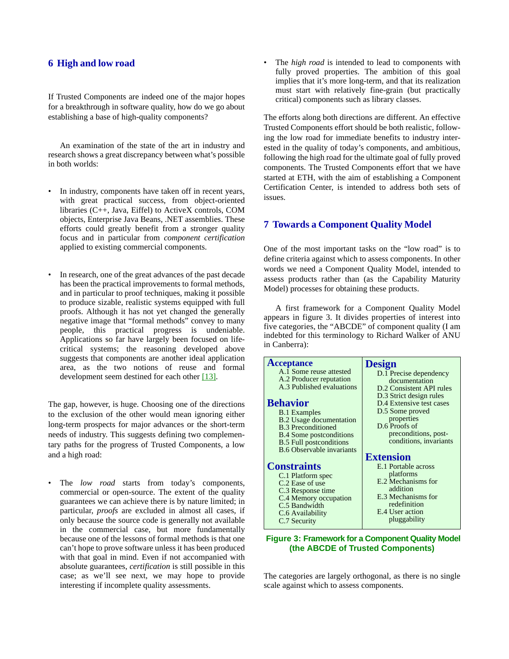# **6 High and low road**

If Trusted Components are indeed one of the major hopes for a breakthrough in software quality, how do we go about establishing a base of high-quality components?

An examination of the state of the art in industry and research shows a great discrepancy between what's possible in both worlds:

- In industry, components have taken off in recent years, with great practical success, from object-oriented libraries (C++, Java, Eiffel) to ActiveX controls, COM objects, Enterprise Java Beans, .NET assemblies. These efforts could greatly benefit from a stronger quality focus and in particular from *component certification* applied to existing commercial components.
- In research, one of the great advances of the past decade has been the practical improvements to formal methods, and in particular to proof techniques, making it possible to produce sizable, realistic systems equipped with full proofs. Although it has not yet changed the generally negative image that "formal methods" convey to many people, this practical progress is undeniable. Applications so far have largely been focused on lifecritical systems; the reasoning developed above suggests that components are another ideal application area, as the two notions of reuse and formal development seem destined for each other [\[13\].](#page-7-13)

The gap, however, is huge. Choosing one of the directions to the exclusion of the other would mean ignoring either long-term prospects for major advances or the short-term needs of industry. This suggests defining two complementary paths for the progress of Trusted Components, a low and a high road:

• The *low road* starts from today's components, commercial or open-source. The extent of the quality guarantees we can achieve there is by nature limited; in particular, *proofs* are excluded in almost all cases, if only because the source code is generally not available in the commercial case, but more fundamentally because one of the lessons of formal methods is that one can't hope to prove software unless it has been produced with that goal in mind. Even if not accompanied with absolute guarantees, *certification* is still possible in this case; as we'll see next, we may hope to provide interesting if incomplete quality assessments.

The *high road* is intended to lead to components with fully proved properties. The ambition of this goal implies that it's more long-term, and that its realization must start with relatively fine-grain (but practically critical) components such as library classes.

The efforts along both directions are different. An effective Trusted Components effort should be both realistic, following the low road for immediate benefits to industry interested in the quality of today's components, and ambitious, following the high road for the ultimate goal of fully proved components. The Trusted Components effort that we have started at ETH, with the aim of establishing a Component Certification Center, is intended to address both sets of issues.

# **7 Towards a Component Quality Model**

One of the most important tasks on the "low road" is to define criteria against which to assess components. In other words we need a Component Quality Model, intended to assess products rather than (as the Capability Maturity Model) processes for obtaining these products.

A first framework for a Component Quality Model appears in figure [3](#page-4-0). It divides properties of interest into five categories, the "ABCDE" of component quality (I am indebted for this terminology to Richard Walker of ANU in Canberra):

| <b>Acceptance</b>                | <b>Design</b>            |
|----------------------------------|--------------------------|
| A.1 Some reuse attested          | D.1 Precise dependency   |
| A.2 Producer reputation          | documentation            |
| A.3 Published evaluations        | D.2 Consistent API rules |
|                                  | D.3 Strict design rules  |
| <b>Behavior</b>                  | D.4 Extensive test cases |
|                                  | D.5 Some proved          |
| <b>B.1</b> Examples              |                          |
| <b>B.2</b> Usage documentation   | properties               |
| <b>B.3</b> Preconditioned        | D.6 Proofs of            |
| <b>B.4</b> Some postconditions   | preconditions, post-     |
| <b>B.5 Full postconditions</b>   | conditions, invariants   |
| <b>B.6 Observable invariants</b> |                          |
|                                  | <b>Extension</b>         |
| <b>Constraints</b>               | E.1 Portable across      |
| C.1 Platform spec                | platforms                |
| C.2 Ease of use                  | E.2 Mechanisms for       |
| C.3 Response time                | addition                 |
| C.4 Memory occupation            | E.3 Mechanisms for       |
| C.5 Bandwidth                    | redefinition             |
| C.6 Availability                 | E.4 User action          |
|                                  | pluggability             |
| C.7 Security                     |                          |
|                                  |                          |

#### <span id="page-4-0"></span> **Figure 3: Framework for a Component Quality Model (the ABCDE of Trusted Components)**

The categories are largely orthogonal, as there is no single scale against which to assess components.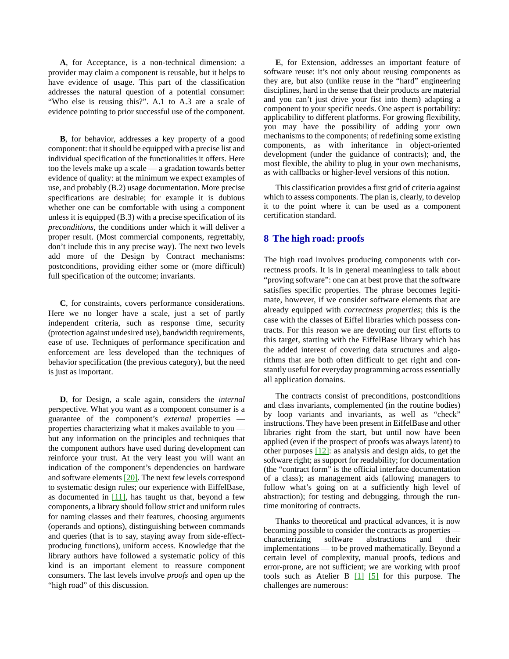**A**, for Acceptance, is a non-technical dimension: a provider may claim a component is reusable, but it helps to have evidence of usage. This part of the classification addresses the natural question of a potential consumer: "Who else is reusing this?". A.1 to A.3 are a scale of evidence pointing to prior successful use of the component.

**B**, for behavior, addresses a key property of a good component: that it should be equipped with a precise list and individual specification of the functionalities it offers. Here too the levels make up a scale — a gradation towards better evidence of quality: at the minimum we expect examples of use, and probably (B.2) usage documentation. More precise specifications are desirable; for example it is dubious whether one can be comfortable with using a component unless it is equipped (B.3) with a precise specification of its *preconditions*, the conditions under which it will deliver a proper result. (Most commercial components, regrettably, don't include this in any precise way). The next two levels add more of the Design by Contract mechanisms: postconditions, providing either some or (more difficult) full specification of the outcome; invariants.

**C**, for constraints, covers performance considerations. Here we no longer have a scale, just a set of partly independent criteria, such as response time, security (protection against undesired use), bandwidth requirements, ease of use. Techniques of performance specification and enforcement are less developed than the techniques of behavior specification (the previous category), but the need is just as important.

**D**, for Design, a scale again, considers the *internal* perspective. What you want as a component consumer is a guarantee of the component's *external* properties properties characterizing what it makes available to you but any information on the principles and techniques that the component authors have used during development can reinforce your trust. At the very least you will want an indication of the component's dependencies on hardware and software elements [\[20\].](#page-7-8) The next few levels correspond to systematic design rules; our experience with EiffelBase, as documented in  $[11]$ , has taught us that, beyond a few components, a library should follow strict and uniform rules for naming classes and their features, choosing arguments (operands and options), distinguishing between commands and queries (that is to say, staying away from side-effectproducing functions), uniform access. Knowledge that the library authors have followed a systematic policy of this kind is an important element to reassure component consumers. The last levels involve *proofs* and open up the "high road" of this discussion.

**E**, for Extension, addresses an important feature of software reuse: it's not only about reusing components as they are, but also (unlike reuse in the "hard" engineering disciplines, hard in the sense that their products are material and you can't just drive your fist into them) adapting a component to your specific needs. One aspect is portability: applicability to different platforms. For growing flexibility, you may have the possibility of adding your own mechanisms to the components; of redefining some existing components, as with inheritance in object-oriented development (under the guidance of contracts); and, the most flexible, the ability to plug in your own mechanisms, as with callbacks or higher-level versions of this notion.

This classification provides a first grid of criteria against which to assess components. The plan is, clearly, to develop it to the point where it can be used as a component certification standard.

#### **8 The high road: proofs**

The high road involves producing components with correctness proofs. It is in general meaningless to talk about "proving software": one can at best prove that the software satisfies specific properties. The phrase becomes legitimate, however, if we consider software elements that are already equipped with *correctness properties*; this is the case with the classes of Eiffel libraries which possess contracts. For this reason we are devoting our first efforts to this target, starting with the EiffelBase library which has the added interest of covering data structures and algorithms that are both often difficult to get right and constantly useful for everyday programming across essentially all application domains.

The contracts consist of preconditions, postconditions and class invariants, complemented (in the routine bodies) by loop variants and invariants, as well as "check" instructions. They have been present in EiffelBase and other libraries right from the start, but until now have been applied (even if the prospect of proofs was always latent) to other purposes  $[12]$ : as analysis and design aids, to get the software right; as support for readability; for documentation (the "contract form" is the official interface documentation of a class); as management aids (allowing managers to follow what's going on at a sufficiently high level of abstraction); for testing and debugging, through the runtime monitoring of contracts.

Thanks to theoretical and practical advances, it is now becoming possible to consider the contracts as properties characterizing software abstractions and their implementations — to be proved mathematically. Beyond a certain level of complexity, manual proofs, tedious and error-prone, are not sufficient; we are working with proof tools such as Atelier B  $[1]$   $[5]$  for this purpose. The challenges are numerous: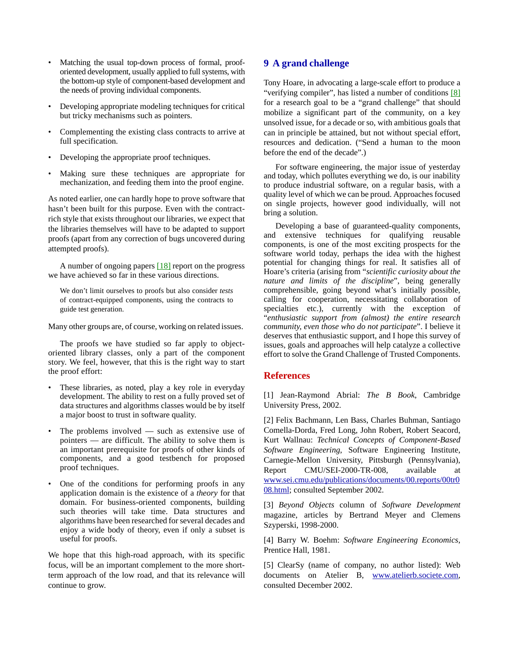- Matching the usual top-down process of formal, prooforiented development, usually applied to full systems, with the bottom-up style of component-based development and the needs of proving individual components.
- Developing appropriate modeling techniques for critical but tricky mechanisms such as pointers.
- Complementing the existing class contracts to arrive at full specification.
- Developing the appropriate proof techniques.
- Making sure these techniques are appropriate for mechanization, and feeding them into the proof engine.

As noted earlier, one can hardly hope to prove software that hasn't been built for this purpose. Even with the contractrich style that exists throughout our libraries, we expect that the libraries themselves will have to be adapted to support proofs (apart from any correction of bugs uncovered during attempted proofs).

A number of ongoing papers  $[18]$  report on the progress we have achieved so far in these various directions.

We don't limit ourselves to proofs but also consider *tests* of contract-equipped components, using the contracts to guide test generation.

Many other groups are, of course, working on related issues.

The proofs we have studied so far apply to objectoriented library classes, only a part of the component story. We feel, however, that this is the right way to start the proof effort:

- These libraries, as noted, play a key role in everyday development. The ability to rest on a fully proved set of data structures and algorithms classes would be by itself a major boost to trust in software quality.
- The problems involved  $-$  such as extensive use of pointers — are difficult. The ability to solve them is an important prerequisite for proofs of other kinds of components, and a good testbench for proposed proof techniques.
- One of the conditions for performing proofs in any application domain is the existence of a *theory* for that domain. For business-oriented components, building such theories will take time. Data structures and algorithms have been researched for several decades and enjoy a wide body of theory, even if only a subset is useful for proofs.

We hope that this high-road approach, with its specific focus, will be an important complement to the more shortterm approach of the low road, and that its relevance will continue to grow.

# **9 A grand challenge**

Tony Hoare, in advocating a large-scale effort to produce a "verifying compiler", has listed a number of conditions [\[8\]](#page-7-15) for a research goal to be a "grand challenge" that should mobilize a significant part of the community, on a key unsolved issue, for a decade or so, with ambitious goals that can in principle be attained, but not without special effort, resources and dedication. ("Send a human to the moon before the end of the decade".)

For software engineering, the major issue of yesterday and today, which pollutes everything we do, is our inability to produce industrial software, on a regular basis, with a quality level of which we can be proud. Approaches focused on single projects, however good individually, will not bring a solution.

Developing a base of guaranteed-quality components, and extensive techniques for qualifying reusable components, is one of the most exciting prospects for the software world today, perhaps the idea with the highest potential for changing things for real. It satisfies all of Hoare's criteria (arising from "*scientific curiosity about the nature and limits of the discipline*", being generally comprehensible, going beyond what's initially possible, calling for cooperation, necessitating collaboration of specialties etc.), currently with the exception of "*enthusiastic support from (almost) the entire research community, even those who do not participate*". I believe it deserves that enthusiastic support, and I hope this survey of issues, goals and approaches will help catalyze a collective effort to solve the Grand Challenge of Trusted Components.

#### **References**

<span id="page-6-3"></span>[1] Jean-Raymond Abrial: *The B Book*, Cambridge University Press, 2002.

<span id="page-6-2"></span>[2] Felix Bachmann, Len Bass, Charles Buhman, Santiago Comella-Dorda, Fred Long, John Robert, Robert Seacord, Kurt Wallnau: *Technical Concepts of Component-Based Software Engineering*, Software Engineering Institute, Carnegie-Mellon University, Pittsburgh (Pennsylvania), Report CMU/SEI-2000-TR-008, available at [www.sei.cmu.edu/publications/documents/00.reports/00tr0](http://www.sei.cmu.edu/publications/documents/00.reports/00tr008.html) [08.html](http://www.sei.cmu.edu/publications/documents/00.reports/00tr008.html); consulted September 2002.

<span id="page-6-1"></span>[3] *Beyond Objects* column of *Software Development* magazine, articles by Bertrand Meyer and Clemens Szyperski, 1998-2000.

<span id="page-6-0"></span>[4] Barry W. Boehm: *Software Engineering Economics*, Prentice Hall, 1981.

<span id="page-6-4"></span>[5] ClearSy (name of company, no author listed): Web documents on Atelier B, [www.atelierb.societe.com,](http://www.atelierb.societe.com) consulted December 2002.